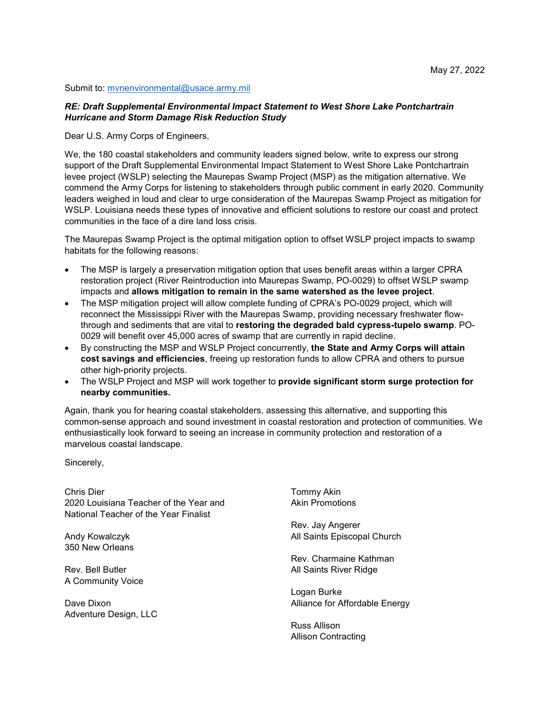## Submit to: mvnenvironmental@usace.army.mil

## *RE: Draft Supplemental Environmental Impact Statement to West Shore Lake Pontchartrain Hurricane and Storm Damage Risk Reduction Study*

Dear U.S. Army Corps of Engineers,

We, the 180 coastal stakeholders and community leaders signed below, write to express our strong support of the Draft Supplemental Environmental Impact Statement to West Shore Lake Pontchartrain levee project (WSLP) selecting the Maurepas Swamp Project (MSP) as the mitigation alternative. We commend the Army Corps for listening to stakeholders through public comment in early 2020. Community leaders weighed in loud and clear to urge consideration of the Maurepas Swamp Project as mitigation for WSLP. Louisiana needs these types of innovative and efficient solutions to restore our coast and protect communities in the face of a dire land loss crisis.

The Maurepas Swamp Project is the optimal mitigation option to offset WSLP project impacts to swamp habitats for the following reasons:

- The MSP is largely a preservation mitigation option that uses benefit areas within a larger CPRA restoration project (River Reintroduction into Maurepas Swamp, PO-0029) to offset WSLP swamp impacts and **allows mitigation to remain in the same watershed as the levee project**.
- The MSP mitigation project will allow complete funding of CPRA's PO-0029 project, which will reconnect the Mississippi River with the Maurepas Swamp, providing necessary freshwater flowthrough and sediments that are vital to **restoring the degraded bald cypress-tupelo swamp**. PO-0029 will benefit over 45,000 acres of swamp that are currently in rapid decline.
- By constructing the MSP and WSLP Project concurrently, **the State and Army Corps will attain cost savings and efficiencies**, freeing up restoration funds to allow CPRA and others to pursue other high-priority projects.
- The WSLP Project and MSP will work together to **provide significant storm surge protection for nearby communities.**

Again, thank you for hearing coastal stakeholders, assessing this alternative, and supporting this common-sense approach and sound investment in coastal restoration and protection of communities. We enthusiastically look forward to seeing an increase in community protection and restoration of a marvelous coastal landscape.

Sincerely,

Chris Dier 2020 Louisiana Teacher of the Year and National Teacher of the Year Finalist

Andy Kowalczyk 350 New Orleans

Rev. Bell Butler A Community Voice

Dave Dixon Adventure Design, LLC

Tommy Akin Akin Promotions

Rev. Jay Angerer All Saints Episcopal Church

Rev. Charmaine Kathman All Saints River Ridge

Logan Burke Alliance for Affordable Energy

Russ Allison Allison Contracting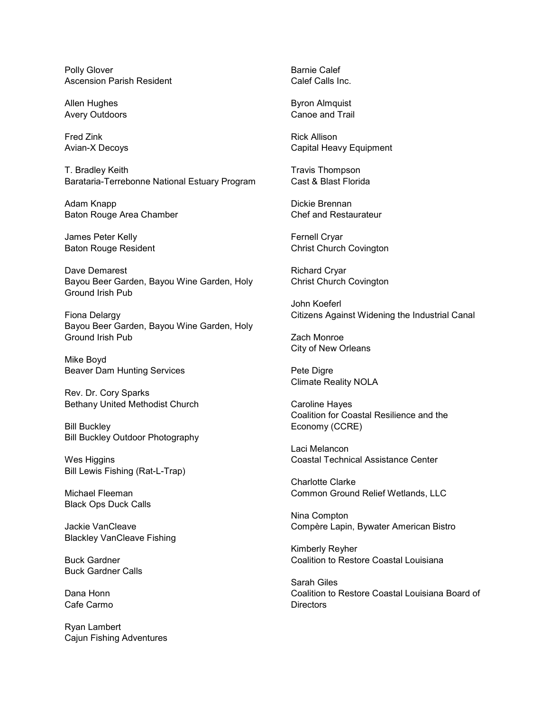Polly Glover Ascension Parish Resident

Allen Hughes Avery Outdoors

Fred Zink Avian-X Decoys

T. Bradley Keith Barataria-Terrebonne National Estuary Program

Adam Knapp Baton Rouge Area Chamber

James Peter Kelly Baton Rouge Resident

Dave Demarest Bayou Beer Garden, Bayou Wine Garden, Holy Ground Irish Pub

Fiona Delargy Bayou Beer Garden, Bayou Wine Garden, Holy Ground Irish Pub

Mike Boyd Beaver Dam Hunting Services

Rev. Dr. Cory Sparks Bethany United Methodist Church

Bill Buckley Bill Buckley Outdoor Photography

Wes Higgins Bill Lewis Fishing (Rat-L-Trap)

Michael Fleeman Black Ops Duck Calls

Jackie VanCleave Blackley VanCleave Fishing

Buck Gardner Buck Gardner Calls

Dana Honn Cafe Carmo

Ryan Lambert Cajun Fishing Adventures Barnie Calef Calef Calls Inc.

Byron Almquist Canoe and Trail

Rick Allison Capital Heavy Equipment

Travis Thompson Cast & Blast Florida

Dickie Brennan Chef and Restaurateur

Fernell Cryar Christ Church Covington

Richard Cryar Christ Church Covington

John Koeferl Citizens Against Widening the Industrial Canal

Zach Monroe City of New Orleans

Pete Digre Climate Reality NOLA

Caroline Hayes Coalition for Coastal Resilience and the Economy (CCRE)

Laci Melancon Coastal Technical Assistance Center

Charlotte Clarke Common Ground Relief Wetlands, LLC

Nina Compton Compère Lapin, Bywater American Bistro

Kimberly Reyher Coalition to Restore Coastal Louisiana

Sarah Giles Coalition to Restore Coastal Louisiana Board of **Directors**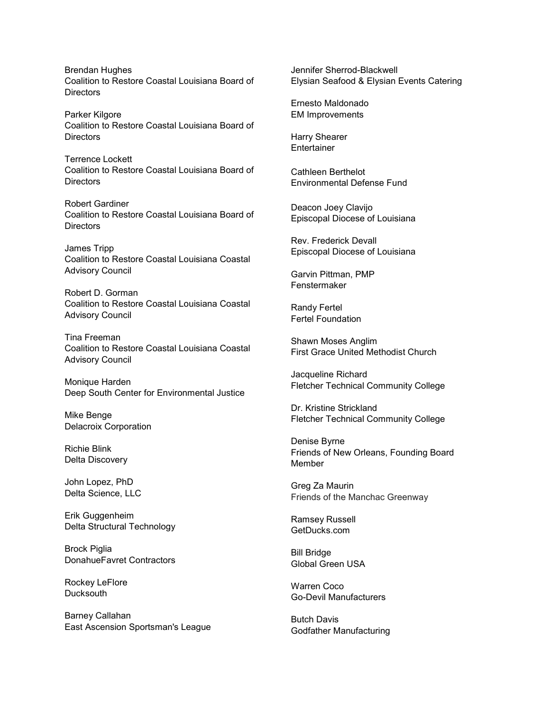Brendan Hughes Coalition to Restore Coastal Louisiana Board of **Directors** 

Parker Kilgore Coalition to Restore Coastal Louisiana Board of **Directors** 

Terrence Lockett Coalition to Restore Coastal Louisiana Board of **Directors** 

Robert Gardiner Coalition to Restore Coastal Louisiana Board of **Directors** 

James Tripp Coalition to Restore Coastal Louisiana Coastal Advisory Council

Robert D. Gorman Coalition to Restore Coastal Louisiana Coastal Advisory Council

Tina Freeman Coalition to Restore Coastal Louisiana Coastal Advisory Council

Monique Harden Deep South Center for Environmental Justice

Mike Benge Delacroix Corporation

Richie Blink Delta Discovery

John Lopez, PhD Delta Science, LLC

Erik Guggenheim Delta Structural Technology

Brock Piglia DonahueFavret Contractors

Rockey LeFlore **Ducksouth** 

Barney Callahan East Ascension Sportsman's League Jennifer Sherrod-Blackwell Elysian Seafood & Elysian Events Catering

Ernesto Maldonado EM Improvements

Harry Shearer Entertainer

Cathleen Berthelot Environmental Defense Fund

Deacon Joey Clavijo Episcopal Diocese of Louisiana

Rev. Frederick Devall Episcopal Diocese of Louisiana

Garvin Pittman, PMP Fenstermaker

Randy Fertel Fertel Foundation

Shawn Moses Anglim First Grace United Methodist Church

Jacqueline Richard Fletcher Technical Community College

Dr. Kristine Strickland Fletcher Technical Community College

Denise Byrne Friends of New Orleans, Founding Board Member

Greg Za Maurin Friends of the Manchac Greenway

Ramsey Russell [GetDucks.com](http://getducks.com/)

Bill Bridge Global Green USA

Warren Coco Go-Devil Manufacturers

Butch Davis Godfather Manufacturing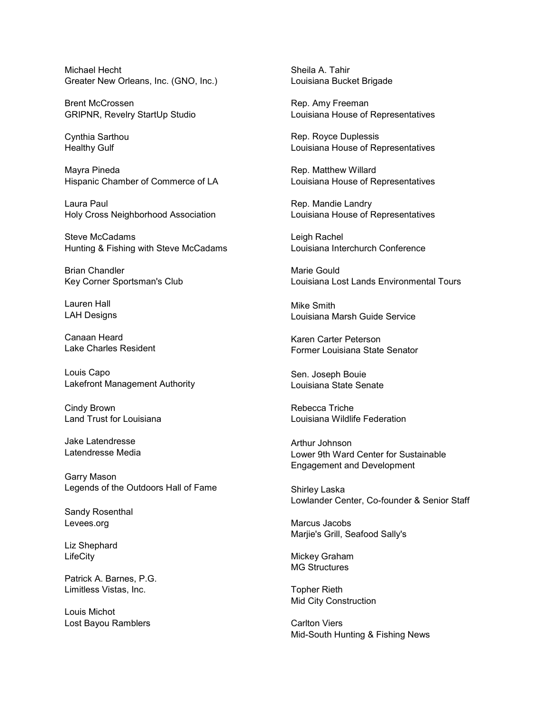Michael Hecht Greater New Orleans, Inc. (GNO, Inc.)

Brent McCrossen GRIPNR, Revelry StartUp Studio

Cynthia Sarthou Healthy Gulf

Mayra Pineda Hispanic Chamber of Commerce of LA

Laura Paul Holy Cross Neighborhood Association

Steve McCadams Hunting & Fishing with Steve McCadams

Brian Chandler Key Corner Sportsman's Club

Lauren Hall LAH Designs

Canaan Heard Lake Charles Resident

Louis Capo Lakefront Management Authority

Cindy Brown Land Trust for Louisiana

Jake Latendresse Latendresse Media

Garry Mason Legends of the Outdoors Hall of Fame

Sandy Rosenthal [Levees.org](http://levees.org/)

Liz Shephard **LifeCity** 

Patrick A. Barnes, P.G. Limitless Vistas, Inc.

Louis Michot Lost Bayou Ramblers

Sheila A. Tahir Louisiana Bucket Brigade

Rep. Amy Freeman Louisiana House of Representatives

Rep. Royce Duplessis Louisiana House of Representatives

Rep. Matthew Willard Louisiana House of Representatives

Rep. Mandie Landry Louisiana House of Representatives

Leigh Rachel Louisiana Interchurch Conference

Marie Gould Louisiana Lost Lands Environmental Tours

Mike Smith Louisiana Marsh Guide Service

Karen Carter Peterson Former Louisiana State Senator

Sen. Joseph Bouie Louisiana State Senate

Rebecca Triche Louisiana Wildlife Federation

Arthur Johnson Lower 9th Ward Center for Sustainable Engagement and Development

Shirley Laska Lowlander Center, Co-founder & Senior Staff

Marcus Jacobs Marjie's Grill, Seafood Sally's

Mickey Graham MG Structures

Topher Rieth Mid City Construction

Carlton Viers Mid-South Hunting & Fishing News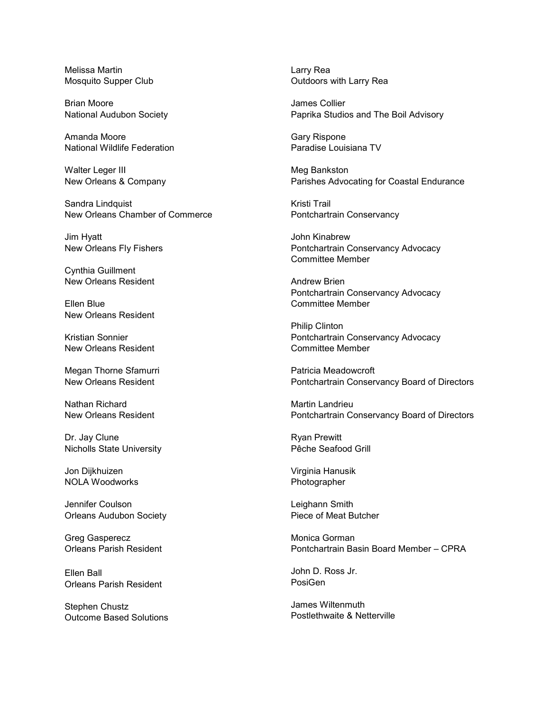Melissa Martin Mosquito Supper Club

Brian Moore National Audubon Society

Amanda Moore National Wildlife Federation

Walter Leger III New Orleans & Company

Sandra Lindquist New Orleans Chamber of Commerce

Jim Hyatt New Orleans Fly Fishers

Cynthia Guillment New Orleans Resident

Ellen Blue New Orleans Resident

Kristian Sonnier New Orleans Resident

Megan Thorne Sfamurri New Orleans Resident

Nathan Richard New Orleans Resident

Dr. Jay Clune Nicholls State University

Jon Dijkhuizen NOLA Woodworks

Jennifer Coulson Orleans Audubon Society

Greg Gasperecz Orleans Parish Resident

Ellen Ball Orleans Parish Resident

Stephen Chustz Outcome Based Solutions Larry Rea Outdoors with Larry Rea

James Collier Paprika Studios and The Boil Advisory

Gary Rispone Paradise Louisiana TV

Meg Bankston Parishes Advocating for Coastal Endurance

Kristi Trail Pontchartrain Conservancy

John Kinabrew Pontchartrain Conservancy Advocacy Committee Member

Andrew Brien Pontchartrain Conservancy Advocacy Committee Member

Philip Clinton Pontchartrain Conservancy Advocacy Committee Member

Patricia Meadowcroft Pontchartrain Conservancy Board of Directors

Martin Landrieu Pontchartrain Conservancy Board of Directors

Ryan Prewitt Pêche Seafood Grill

Virginia Hanusik Photographer

Leighann Smith Piece of Meat Butcher

Monica Gorman Pontchartrain Basin Board Member – CPRA

John D. Ross Jr. PosiGen

James Wiltenmuth Postlethwaite & Netterville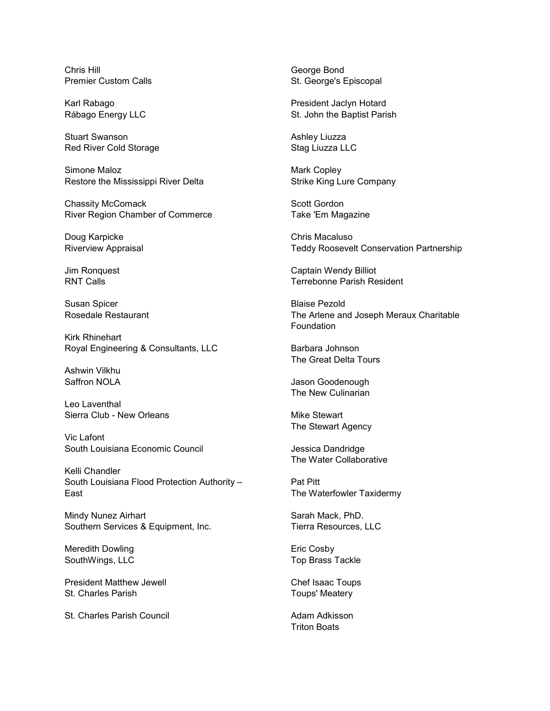Chris Hill Premier Custom Calls

Karl Rabago Rábago Energy LLC

Stuart Swanson Red River Cold Storage

Simone Maloz Restore the Mississippi River Delta

Chassity McComack River Region Chamber of Commerce

Doug Karpicke Riverview Appraisal

Jim Ronquest RNT Calls

Susan Spicer Rosedale Restaurant

Kirk Rhinehart Royal Engineering & Consultants, LLC

Ashwin Vilkhu Saffron NOLA

Leo Laventhal Sierra Club - New Orleans

Vic Lafont South Louisiana Economic Council

Kelli Chandler South Louisiana Flood Protection Authority – East

Mindy Nunez Airhart Southern Services & Equipment, Inc.

Meredith Dowling SouthWings, LLC

President Matthew Jewell St. Charles Parish

St. Charles Parish Council

George Bond St. George's Episcopal

President Jaclyn Hotard St. John the Baptist Parish

Ashley Liuzza Stag Liuzza LLC

Mark Copley Strike King Lure Company

Scott Gordon Take 'Em Magazine

Chris Macaluso Teddy Roosevelt Conservation Partnership

Captain Wendy Billiot Terrebonne Parish Resident

Blaise Pezold The Arlene and Joseph Meraux Charitable Foundation

Barbara Johnson The Great Delta Tours

Jason Goodenough The New Culinarian

Mike Stewart The Stewart Agency

Jessica Dandridge The Water Collaborative

Pat Pitt The Waterfowler Taxidermy

Sarah Mack, PhD. Tierra Resources, LLC

Eric Cosby Top Brass Tackle

Chef Isaac Toups Toups' Meatery

Adam Adkisson Triton Boats